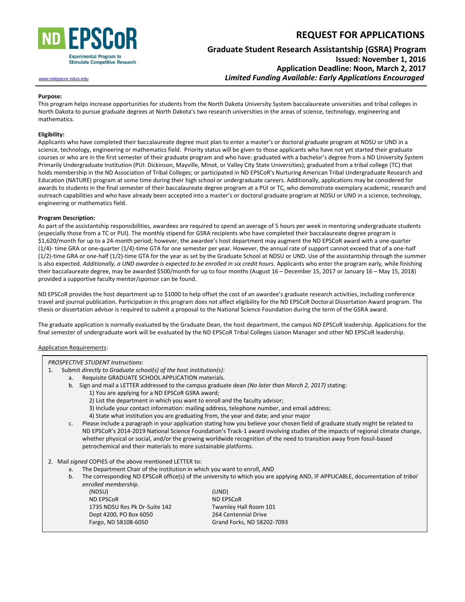

# **REQUEST FOR APPLICATIONS**

## **Graduate Student Research Assistantship (GSRA) Program Issued: November 1, 2016 Application Deadline: Noon, March 2, 2017** [www.ndepscor.ndus.edu](http://www.ndepscor.ndus.edu/)*Limited Funding Available: Early Applications Encouraged*

#### **Purpose:**

This program helps increase opportunities for students from the North Dakota University System baccalaureate universities and tribal colleges in North Dakota to pursue graduate degrees at North Dakota's two research universities in the areas of science, technology, engineering and mathematics.

#### **Eligibility:**

Applicants who have completed their baccalaureate degree must plan to enter a master's or doctoral graduate program at NDSU or UND in a science, technology, engineering or mathematics field. Priority status will be given to those applicants who have not yet started their graduate courses or who are in the first semester of their graduate program and who have: graduated with a bachelor's degree from a ND University System Primarily Undergraduate Institution (PUI: Dickinson, Mayville, Minot, or Valley City State Universities); graduated from a tribal college (TC) that holds membership in the ND Association of Tribal Colleges; or participated in ND EPSCoR's Nurturing American Tribal Undergraduate Research and Education (NATURE) program at some time during their high school or undergraduate careers. Additionally, applications may be considered for awards to students in the final semester of their baccalaureate degree program at a PUI or TC, who demonstrate exemplary academic, research and outreach capabilities and who have already been accepted into a master's or doctoral graduate program at NDSU or UND in a science, technology, engineering or mathematics field.

#### **Program Description:**

As part of the assistantship responsibilities, awardees are required to spend an average of 5 hours per week in mentoring undergraduate students (especially those from a TC or PUI). The monthly stipend for GSRA recipients who have completed their baccalaureate degree program is \$1,620/month for up to a 24-month period; however, the awardee's host department may augment the ND EPSCoR award with a one-quarter (1/4)- time GRA or one-quarter (1/4)-time GTA for one semester per year. However, the annual rate of support cannot exceed that of a one-half (1/2)-time GRA or one-half (1/2)-time GTA for the year as set by the Graduate School at NDSU or UND. Use of the assistantship through the summer is also expected. *Additionally, a UND awardee is expected to be enrolled in six credit hours.* Applicants who enter the program early, while finishing their baccalaureate degree, may be awarded \$500/month for up to four months (August 16 – December 15, 2017 or January 16 – May 15, 2018) provided a supportive faculty mentor/sponsor can be found.

ND EPSCoR provides the host department up to \$1000 to help offset the cost of an awardee's graduate research activities, including conference travel and journal publication. Participation in this program does not affect eligibility for the ND EPSCoR Doctoral Dissertation Award program. The thesis or dissertation advisor is required to submit a proposal to the National Science Foundation during the term of the GSRA award.

The graduate application is normally evaluated by the Graduate Dean, the host department, the campus ND EPSCoR leadership. Applications for the final semester of undergraduate work will be evaluated by the ND EPSCoR Tribal Colleges Liaison Manager and other ND EPSCoR leadership.

#### Application Requirements:

| pplication Requirements:                                |                                                                                                                                |                                                                                                                       |  |
|---------------------------------------------------------|--------------------------------------------------------------------------------------------------------------------------------|-----------------------------------------------------------------------------------------------------------------------|--|
| <b>PROSPECTIVE STUDENT Instructions:</b>                |                                                                                                                                |                                                                                                                       |  |
| 1.                                                      | Submit directly to Graduate school(s) of the host institution(s):                                                              |                                                                                                                       |  |
| a.                                                      | Requisite GRADUATE SCHOOL APPLICATION materials.                                                                               |                                                                                                                       |  |
|                                                         | b. Sign and mail a LETTER addressed to the campus graduate dean (No later than March 2, 2017) stating:                         |                                                                                                                       |  |
|                                                         | 1) You are applying for a ND EPSCoR GSRA award;                                                                                |                                                                                                                       |  |
|                                                         | 2) List the department in which you want to enroll and the faculty advisor;                                                    |                                                                                                                       |  |
|                                                         | 3) Include your contact information: mailing address, telephone number, and email address;                                     |                                                                                                                       |  |
|                                                         | 4) State what institution you are graduating from, the year and date; and your major                                           |                                                                                                                       |  |
| C.                                                      | Please include a paragraph in your application stating how you believe your chosen field of graduate study might be related to |                                                                                                                       |  |
|                                                         | ND EPSCoR's 2014-2019 National Science Foundation's Track-1 award involving studies of the impacts of regional climate change, |                                                                                                                       |  |
|                                                         |                                                                                                                                | whether physical or social, and/or the growing worldwide recognition of the need to transition away from fossil-based |  |
|                                                         | petrochemical and their materials to more sustainable platforms.                                                               |                                                                                                                       |  |
|                                                         |                                                                                                                                |                                                                                                                       |  |
| 2. Mail signed COPIES of the above mentioned LETTER to: |                                                                                                                                |                                                                                                                       |  |
| a.                                                      | The Department Chair of the institution in which you want to enroll, AND                                                       |                                                                                                                       |  |
| b.                                                      | The corresponding ND EPSCoR office(s) of the university to which you are applying AND, IF APPLICABLE, documentation of tribal  |                                                                                                                       |  |
|                                                         | enrolled membership.                                                                                                           |                                                                                                                       |  |
|                                                         | (NDSU)                                                                                                                         | (UND)                                                                                                                 |  |
|                                                         | <b>ND EPSCOR</b>                                                                                                               | <b>ND EPSCOR</b>                                                                                                      |  |
|                                                         | 1735 NDSU Res Pk Dr-Suite 142                                                                                                  | Twamley Hall Room 101                                                                                                 |  |
|                                                         | Dept 4200, PO Box 6050                                                                                                         | 264 Centennial Drive                                                                                                  |  |
|                                                         | Fargo, ND 58108-6050                                                                                                           | Grand Forks, ND 58202-7093                                                                                            |  |
|                                                         |                                                                                                                                |                                                                                                                       |  |
|                                                         |                                                                                                                                |                                                                                                                       |  |
|                                                         |                                                                                                                                |                                                                                                                       |  |
|                                                         |                                                                                                                                |                                                                                                                       |  |